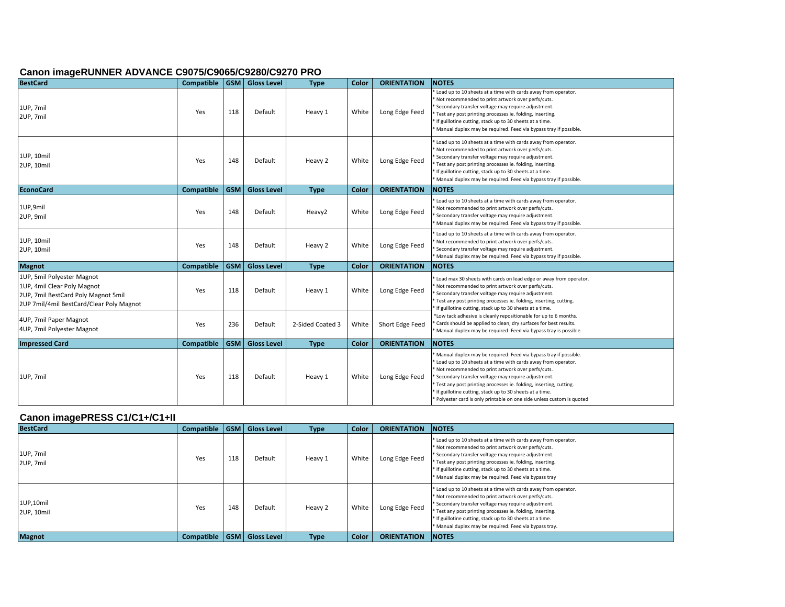#### **Canon imageRUNNER ADVANCE C9075/C9065/C9280/C9270 PRO**

| <b>BestCard</b>                                                                                                                              | Compatible        | <b>GSM</b> | <b>Gloss Level</b> | <b>Type</b>      | Color | <b>ORIENTATION</b> | <b>NOTES</b>                                                                                                                                                                                                                                                                                                                                                                                                                                                   |
|----------------------------------------------------------------------------------------------------------------------------------------------|-------------------|------------|--------------------|------------------|-------|--------------------|----------------------------------------------------------------------------------------------------------------------------------------------------------------------------------------------------------------------------------------------------------------------------------------------------------------------------------------------------------------------------------------------------------------------------------------------------------------|
| 1UP, 7mil<br>2UP, 7mil                                                                                                                       | Yes               | 118        | Default            | Heavy 1          | White | Long Edge Feed     | Load up to 10 sheets at a time with cards away from operator.<br>Not recommended to print artwork over perfs/cuts.<br>Secondary transfer voltage may require adjustment.<br>Test any post printing processes ie. folding, inserting.<br>* If guillotine cutting, stack up to 30 sheets at a time.<br>* Manual duplex may be required. Feed via bypass tray if possible.                                                                                        |
| 1UP, 10mil<br>2UP, 10mil                                                                                                                     | Yes               | 148        | Default            | Heavy 2          | White | Long Edge Feed     | Load up to 10 sheets at a time with cards away from operator.<br>* Not recommended to print artwork over perfs/cuts.<br>Secondary transfer voltage may require adjustment.<br>* Test any post printing processes ie. folding, inserting.<br>* If guillotine cutting, stack up to 30 sheets at a time.<br>Manual duplex may be required. Feed via bypass tray if possible.                                                                                      |
| <b>EconoCard</b>                                                                                                                             | <b>Compatible</b> | <b>GSM</b> | <b>Gloss Level</b> | <b>Type</b>      | Color | <b>ORIENTATION</b> | <b>NOTES</b>                                                                                                                                                                                                                                                                                                                                                                                                                                                   |
| 1UP,9mil<br>2UP, 9mil                                                                                                                        | Yes               | 148        | Default            | Heavy2           | White | Long Edge Feed     | Load up to 10 sheets at a time with cards away from operator.<br>Not recommended to print artwork over perfs/cuts.<br>Secondary transfer voltage may require adjustment.<br>Manual duplex may be required. Feed via bypass tray if possible.                                                                                                                                                                                                                   |
| 1UP, 10mil<br>2UP, 10mil                                                                                                                     | Yes               | 148        | Default            | Heavy 2          | White | Long Edge Feed     | * Load up to 10 sheets at a time with cards away from operator.<br>Not recommended to print artwork over perfs/cuts.<br>Secondary transfer voltage may require adjustment.<br>Manual duplex may be required. Feed via bypass tray if possible.                                                                                                                                                                                                                 |
| <b>Magnot</b>                                                                                                                                | <b>Compatible</b> | <b>GSM</b> | <b>Gloss Level</b> | <b>Type</b>      | Color | <b>ORIENTATION</b> | <b>NOTES</b>                                                                                                                                                                                                                                                                                                                                                                                                                                                   |
| 1UP, 5mil Polyester Magnot<br>1UP, 4mil Clear Poly Magnot<br>2UP, 7mil BestCard Poly Magnot 5mil<br>2UP 7mil/4mil BestCard/Clear Poly Magnot | Yes               | 118        | Default            | Heavy 1          | White | Long Edge Feed     | * Load max 30 sheets with cards on lead edge or away from operator.<br>Not recommended to print artwork over perfs/cuts.<br>Secondary transfer voltage may require adjustment.<br>Test any post printing processes ie. folding, inserting, cutting.<br>If guillotine cutting, stack up to 30 sheets at a time.                                                                                                                                                 |
| 4UP, 7mil Paper Magnot<br>4UP, 7mil Polyester Magnot                                                                                         | Yes               | 236        | Default            | 2-Sided Coated 3 | White | Short Edge Feed    | *Low tack adhesive is cleanly repositionable for up to 6 months.<br>Cards should be applied to clean, dry surfaces for best results.<br>Manual duplex may be required. Feed via bypass tray is possible.                                                                                                                                                                                                                                                       |
| <b>Impressed Card</b>                                                                                                                        | <b>Compatible</b> | <b>GSM</b> | <b>Gloss Level</b> | <b>Type</b>      | Color | <b>ORIENTATION</b> | <b>NOTES</b>                                                                                                                                                                                                                                                                                                                                                                                                                                                   |
| 1UP, 7mil                                                                                                                                    | Yes               | 118        | Default            | Heavy 1          | White | Long Edge Feed     | Manual duplex may be required. Feed via bypass tray if possible.<br>* Load up to 10 sheets at a time with cards away from operator.<br>* Not recommended to print artwork over perfs/cuts.<br>Secondary transfer voltage may require adjustment.<br>* Test any post printing processes ie. folding, inserting, cutting.<br>* If guillotine cutting, stack up to 30 sheets at a time.<br>* Polyester card is only printable on one side unless custom is quoted |

# **Canon imagePRESS C1/C1+/C1+II**

| <b>BestCard</b>         | Compatible |     | GSM   Gloss Level | <b>Type</b> | Color | <b>ORIENTATION</b> | <b>INOTES</b>                                                                                                                                                                                                                                                                                                                                                       |
|-------------------------|------------|-----|-------------------|-------------|-------|--------------------|---------------------------------------------------------------------------------------------------------------------------------------------------------------------------------------------------------------------------------------------------------------------------------------------------------------------------------------------------------------------|
| 1UP, 7mil<br>2UP, 7mil  | Yes        | 118 | Default           | Heavy 1     | White | Long Edge Feed     | * Load up to 10 sheets at a time with cards away from operator.<br>* Not recommended to print artwork over perfs/cuts.<br>* Secondary transfer voltage may require adjustment.<br>* Test any post printing processes ie. folding, inserting.<br>* If guillotine cutting, stack up to 30 sheets at a time.<br>* Manual duplex may be required. Feed via bypass tray  |
| 1UP,10mil<br>2UP, 10mil | Yes        | 148 | Default           | Heavy 2     | White | Long Edge Feed     | * Load up to 10 sheets at a time with cards away from operator.<br>* Not recommended to print artwork over perfs/cuts.<br>* Secondary transfer voltage may require adjustment.<br>* Test any post printing processes ie. folding, inserting.<br>* If guillotine cutting, stack up to 30 sheets at a time.<br>* Manual duplex may be required. Feed via bypass tray. |
| <b>Magnot</b>           | Compatible |     | GSM   Gloss Level | <b>Type</b> | Color | <b>ORIENTATION</b> | <b>INOTES</b>                                                                                                                                                                                                                                                                                                                                                       |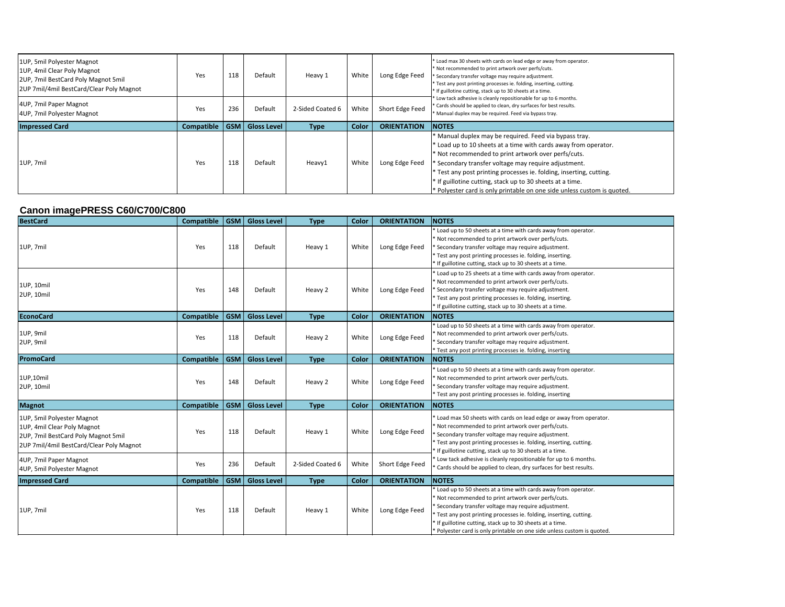| 1UP, 5mil Polyester Magnot<br>1UP, 4mil Clear Poly Magnot<br>2UP, 7mil BestCard Poly Magnot 5mil<br>2UP 7mil/4mil BestCard/Clear Poly Magnot | Yes        | 118        | Default            | Heavy 1          | White | Long Edge Feed     | * Load max 30 sheets with cards on lead edge or away from operator.<br>* Not recommended to print artwork over perfs/cuts.<br>* Secondary transfer voltage may require adjustment.<br>* Test any post printing processes ie. folding, inserting, cutting.<br>* If guillotine cutting, stack up to 30 sheets at a time.                                                                                                                                             |
|----------------------------------------------------------------------------------------------------------------------------------------------|------------|------------|--------------------|------------------|-------|--------------------|--------------------------------------------------------------------------------------------------------------------------------------------------------------------------------------------------------------------------------------------------------------------------------------------------------------------------------------------------------------------------------------------------------------------------------------------------------------------|
| 4UP, 7mil Paper Magnot<br>4UP, 7mil Polyester Magnot                                                                                         | Yes        | 236        | Default            | 2-Sided Coated 6 | White | Short Edge Feed    | Low tack adhesive is cleanly repositionable for up to 6 months.<br>* Cards should be applied to clean, dry surfaces for best results.<br>* Manual duplex may be required. Feed via bypass tray.                                                                                                                                                                                                                                                                    |
| <b>Impressed Card</b>                                                                                                                        | Compatible | <b>GSM</b> | <b>Gloss Level</b> | <b>Type</b>      | Color | <b>ORIENTATION</b> | <b>NOTES</b>                                                                                                                                                                                                                                                                                                                                                                                                                                                       |
| 1UP. 7mil                                                                                                                                    | Yes        | 118        | Default            | Heavy1           | White | Long Edge Feed     | * Manual duplex may be required. Feed via bypass tray.<br>* Load up to 10 sheets at a time with cards away from operator.<br>* Not recommended to print artwork over perfs/cuts.<br>* Secondary transfer voltage may require adjustment.<br><sup>*</sup> Test any post printing processes ie. folding, inserting, cutting.<br>* If guillotine cutting, stack up to 30 sheets at a time.<br>* Polyester card is only printable on one side unless custom is quoted. |

# **Canon imagePRESS C60/C700/C800**

| <b>BestCard</b>                                                                                                                              | <b>Compatible</b> | <b>GSM</b> | <b>Gloss Level</b> | <b>Type</b>      | Color | <b>ORIENTATION</b> | <b>NOTES</b>                                                                                                                                                                                                                                                                                                                                                                            |
|----------------------------------------------------------------------------------------------------------------------------------------------|-------------------|------------|--------------------|------------------|-------|--------------------|-----------------------------------------------------------------------------------------------------------------------------------------------------------------------------------------------------------------------------------------------------------------------------------------------------------------------------------------------------------------------------------------|
| 1UP, 7mil                                                                                                                                    | Yes               | 118        | Default            | Heavy 1          | White | Long Edge Feed     | Load up to 50 sheets at a time with cards away from operator.<br>* Not recommended to print artwork over perfs/cuts.<br>Secondary transfer voltage may require adjustment.<br>* Test any post printing processes ie. folding, inserting.<br>If guillotine cutting, stack up to 30 sheets at a time.                                                                                     |
| 1UP, 10mil<br>2UP, 10mil                                                                                                                     | Yes               | 148        | Default            | Heavy 2          | White | Long Edge Feed     | Load up to 25 sheets at a time with cards away from operator.<br>* Not recommended to print artwork over perfs/cuts.<br>Secondary transfer voltage may require adjustment.<br>* Test any post printing processes ie. folding, inserting.<br>If guillotine cutting, stack up to 30 sheets at a time.                                                                                     |
| <b>EconoCard</b>                                                                                                                             | Compatible        | <b>GSM</b> | <b>Gloss Level</b> | <b>Type</b>      | Color | <b>ORIENTATION</b> | <b>NOTES</b>                                                                                                                                                                                                                                                                                                                                                                            |
| 1UP, 9mil<br>2UP, 9mil                                                                                                                       | Yes               | 118        | Default            | Heavy 2          | White | Long Edge Feed     | * Load up to 50 sheets at a time with cards away from operator.<br>Not recommended to print artwork over perfs/cuts.<br>Secondary transfer voltage may require adjustment.<br>* Test any post printing processes ie. folding, inserting                                                                                                                                                 |
| PromoCard                                                                                                                                    | Compatible        | <b>GSM</b> | <b>Gloss Level</b> | <b>Type</b>      | Color | <b>ORIENTATION</b> | <b>NOTES</b>                                                                                                                                                                                                                                                                                                                                                                            |
| 1UP,10mil<br>2UP, 10mil                                                                                                                      | Yes               | 148        | Default            | Heavy 2          | White | Long Edge Feed     | Load up to 50 sheets at a time with cards away from operator.<br>Not recommended to print artwork over perfs/cuts.<br>Secondary transfer voltage may require adjustment.<br>* Test any post printing processes ie. folding, inserting                                                                                                                                                   |
| <b>Magnot</b>                                                                                                                                | Compatible        | <b>GSM</b> | <b>Gloss Level</b> | <b>Type</b>      | Color | <b>ORIENTATION</b> | <b>NOTES</b>                                                                                                                                                                                                                                                                                                                                                                            |
| 1UP, 5mil Polyester Magnot<br>1UP, 4mil Clear Poly Magnot<br>2UP, 7mil BestCard Poly Magnot 5mil<br>2UP 7mil/4mil BestCard/Clear Poly Magnot | Yes               | 118        | Default            | Heavy 1          | White | Long Edge Feed     | * Load max 50 sheets with cards on lead edge or away from operator.<br>* Not recommended to print artwork over perfs/cuts.<br>Secondary transfer voltage may require adjustment.<br>Test any post printing processes ie. folding, inserting, cutting.<br>If guillotine cutting, stack up to 30 sheets at a time.                                                                        |
| 4UP, 7mil Paper Magnot<br>4UP, 5mil Polyester Magnot                                                                                         | Yes               | 236        | Default            | 2-Sided Coated 6 | White | Short Edge Feed    | Low tack adhesive is cleanly repositionable for up to 6 months.<br>Cards should be applied to clean, dry surfaces for best results.                                                                                                                                                                                                                                                     |
| <b>Impressed Card</b>                                                                                                                        | Compatible        | <b>GSM</b> | <b>Gloss Level</b> | <b>Type</b>      | Color | <b>ORIENTATION</b> | <b>NOTES</b>                                                                                                                                                                                                                                                                                                                                                                            |
| 1UP, 7mil                                                                                                                                    | Yes               | 118        | Default            | Heavy 1          | White | Long Edge Feed     | Load up to 50 sheets at a time with cards away from operator.<br>* Not recommended to print artwork over perfs/cuts.<br>Secondary transfer voltage may require adjustment.<br>Test any post printing processes ie. folding, inserting, cutting.<br>* If guillotine cutting, stack up to 30 sheets at a time.<br>* Polyester card is only printable on one side unless custom is quoted. |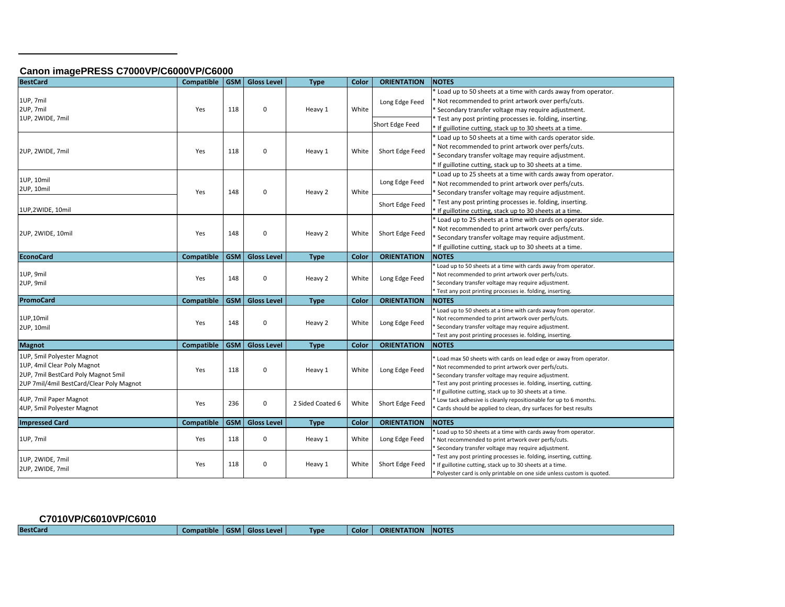#### **Canon imagePRESS C7000VP/C6000VP/C6000**

| <b>BestCard</b>                                                                                                                              | <b>Compatible</b> |            | <b>GSM</b> Gloss Level | <b>Type</b>      | Color | <b>ORIENTATION</b>                | <b>NOTES</b>                                                                                                                                                                                                                                                                                        |
|----------------------------------------------------------------------------------------------------------------------------------------------|-------------------|------------|------------------------|------------------|-------|-----------------------------------|-----------------------------------------------------------------------------------------------------------------------------------------------------------------------------------------------------------------------------------------------------------------------------------------------------|
| 1UP, 7mil<br>2UP, 7mil<br>1UP, 2WIDE, 7mil                                                                                                   | Yes               | 118        | $\Omega$               | Heavy 1          | White | Long Edge Feed<br>Short Edge Feed | * Load up to 50 sheets at a time with cards away from operator.<br>Not recommended to print artwork over perfs/cuts.<br>Secondary transfer voltage may require adjustment.<br>* Test any post printing processes ie. folding, inserting.<br>If guillotine cutting, stack up to 30 sheets at a time. |
| 2UP, 2WIDE, 7mil                                                                                                                             | Yes               | 118        | 0                      | Heavy 1          | White | Short Edge Feed                   | Load up to 50 sheets at a time with cards operator side.<br>Not recommended to print artwork over perfs/cuts.<br>Secondary transfer voltage may require adjustment.<br>If guillotine cutting, stack up to 30 sheets at a time.                                                                      |
| 1UP, 10mil<br>2UP, 10mil<br>1UP,2WIDE, 10mil                                                                                                 | Yes               | 148        | 0                      | Heavy 2          | White | Long Edge Feed<br>Short Edge Feed | Load up to 25 sheets at a time with cards away from operator.<br>Not recommended to print artwork over perfs/cuts.<br>Secondary transfer voltage may require adjustment.<br>* Test any post printing processes ie. folding, inserting.<br>* If guillotine cutting, stack up to 30 sheets at a time. |
| 2UP, 2WIDE, 10mil                                                                                                                            | Yes               | 148        | 0                      | Heavy 2          | White | Short Edge Feed                   | Load up to 25 sheets at a time with cards on operator side.<br>Not recommended to print artwork over perfs/cuts.<br>* Secondary transfer voltage may require adjustment.<br>* If guillotine cutting, stack up to 30 sheets at a time.                                                               |
| <b>EconoCard</b>                                                                                                                             | <b>Compatible</b> |            | GSM Gloss Level        | <b>Type</b>      | Color | <b>ORIENTATION</b>                | <b>NOTES</b>                                                                                                                                                                                                                                                                                        |
| 1UP, 9mil<br>2UP, 9mil                                                                                                                       | Yes               | 148        | 0                      | Heavy 2          | White | Long Edge Feed                    | Load up to 50 sheets at a time with cards away from operator.<br>Not recommended to print artwork over perfs/cuts.<br>Secondary transfer voltage may require adjustment.<br>* Test any post printing processes ie. folding, inserting.                                                              |
| <b>PromoCard</b>                                                                                                                             | <b>Compatible</b> | <b>GSM</b> | <b>Gloss Level</b>     | <b>Type</b>      | Color | <b>ORIENTATION</b>                | <b>NOTES</b>                                                                                                                                                                                                                                                                                        |
| 1UP,10mil<br>2UP, 10mil                                                                                                                      | Yes               | 148        | 0                      | Heavy 2          | White | Long Edge Feed                    | Load up to 50 sheets at a time with cards away from operator.<br>Not recommended to print artwork over perfs/cuts.<br>Secondary transfer voltage may require adjustment.<br>* Test any post printing processes ie. folding, inserting.                                                              |
| <b>Magnot</b>                                                                                                                                | <b>Compatible</b> | <b>GSM</b> | <b>Gloss Level</b>     | <b>Type</b>      | Color | <b>ORIENTATION</b>                | <b>NOTES</b>                                                                                                                                                                                                                                                                                        |
| 1UP, 5mil Polyester Magnot<br>1UP, 4mil Clear Poly Magnot<br>2UP, 7mil BestCard Poly Magnot 5mil<br>2UP 7mil/4mil BestCard/Clear Poly Magnot | Yes               | 118        | 0                      | Heavy 1          | White | Long Edge Feed                    | Load max 50 sheets with cards on lead edge or away from operator.<br>Not recommended to print artwork over perfs/cuts.<br>Secondary transfer voltage may require adjustment.<br>Test any post printing processes ie. folding, inserting, cutting.                                                   |
| 4UP, 7mil Paper Magnot<br>4UP, 5mil Polyester Magnot                                                                                         | Yes               | 236        | 0                      | 2 Sided Coated 6 | White | Short Edge Feed                   | If guillotine cutting, stack up to 30 sheets at a time.<br>Low tack adhesive is cleanly repositionable for up to 6 months.<br>Cards should be applied to clean, dry surfaces for best results                                                                                                       |
| <b>Impressed Card</b>                                                                                                                        | <b>Compatible</b> | <b>GSM</b> | <b>Gloss Level</b>     | <b>Type</b>      | Color | <b>ORIENTATION</b>                | <b>NOTES</b>                                                                                                                                                                                                                                                                                        |
| 1UP, 7mil                                                                                                                                    | Yes               | 118        | 0                      | Heavy 1          | White | Long Edge Feed                    | Load up to 50 sheets at a time with cards away from operator.<br>Not recommended to print artwork over perfs/cuts.<br>Secondary transfer voltage may require adjustment.                                                                                                                            |
| 1UP, 2WIDE, 7mil<br>2UP, 2WIDE, 7mil                                                                                                         | Yes               | 118        | 0                      | Heavy 1          | White | Short Edge Feed                   | Test any post printing processes ie. folding, inserting, cutting.<br>If guillotine cutting, stack up to 30 sheets at a time.<br>Polyester card is only printable on one side unless custom is quoted.                                                                                               |

| C7010VP/C6010VP/C6010 |                                |  |             |              |                    |               |
|-----------------------|--------------------------------|--|-------------|--------------|--------------------|---------------|
| <b>BestCard</b>       | Compatible   GSM   Gloss Level |  | <b>Type</b> | <b>Color</b> | <b>ORIENTATION</b> | <b>INOTES</b> |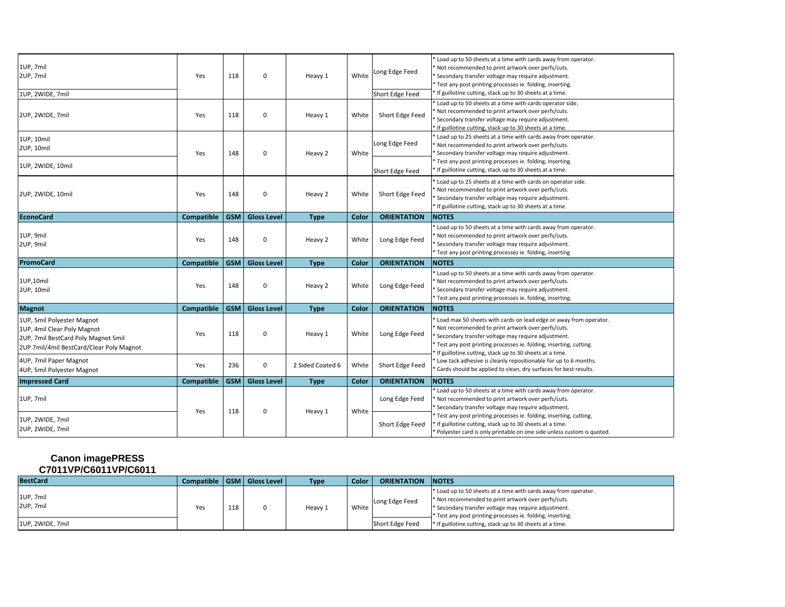| 1UP, 7mil<br>2UP, 7mil<br>1UP, 2WIDE, 7mil                                                                                                   | Yes        | 118        | 0                  | Heavy 1          | White | Long Edge Feed<br>Short Edge Feed | Load up to 50 sheets at a time with cards away from operator.<br>Not recommended to print artwork over perfs/cuts.<br>Secondary transfer voltage may require adjustment.<br>Test any post printing processes ie. folding, inserting.<br>If guillotine cutting, stack up to 30 sheets at a time.              |
|----------------------------------------------------------------------------------------------------------------------------------------------|------------|------------|--------------------|------------------|-------|-----------------------------------|--------------------------------------------------------------------------------------------------------------------------------------------------------------------------------------------------------------------------------------------------------------------------------------------------------------|
| 2UP, 2WIDE, 7mil                                                                                                                             | Yes        | 118        | $\mathbf 0$        | Heavy 1          | White | Short Edge Feed                   | Load up to 50 sheets at a time with cards operator side.<br>Not recommended to print artwork over perfs/cuts.<br>Secondary transfer voltage may require adjustment.<br>If guillotine cutting, stack up to 30 sheets at a time.                                                                               |
| 1UP, 10mil<br>2UP, 10mil                                                                                                                     | Yes        | 148        | $\mathbf 0$        | Heavy 2          | White | Long Edge Feed                    | Load up to 25 sheets at a time with cards away from operator.<br>Not recommended to print artwork over perfs/cuts.<br>Secondary transfer voltage may require adjustment.<br>Test any post printing processes ie. folding, inserting.                                                                         |
| 1UP, 2WIDE, 10mil                                                                                                                            |            |            |                    |                  |       | Short Edge Feed                   | If guillotine cutting, stack up to 30 sheets at a time.                                                                                                                                                                                                                                                      |
| 2UP, 2WIDE, 10mil                                                                                                                            | Yes        | 148        | $\mathbf 0$        | Heavy 2          | White | Short Edge Feed                   | Load up to 25 sheets at a time with cards on operator side.<br>Not recommended to print artwork over perfs/cuts.<br>Secondary transfer voltage may require adjustment.<br>If guillotine cutting, stack up to 30 sheets at a time                                                                             |
| <b>EconoCard</b>                                                                                                                             | Compatible | GSM        | <b>Gloss Level</b> | <b>Type</b>      | Color | <b>ORIENTATION</b>                | <b>NOTES</b>                                                                                                                                                                                                                                                                                                 |
| 1UP, 9mil<br>2UP, 9mil                                                                                                                       | Yes        | 148        | $\mathbf 0$        | Heavy 2          | White | Long Edge Feed                    | Load up to 50 sheets at a time with cards away from operator.<br>Not recommended to print artwork over perfs/cuts.<br>Secondary transfer voltage may require adjustment.<br>Test any post printing processes ie. folding, inserting                                                                          |
| <b>PromoCard</b>                                                                                                                             | Compatible | GSM        | <b>Gloss Level</b> | <b>Type</b>      | Color | <b>ORIENTATION</b>                | <b>NOTES</b>                                                                                                                                                                                                                                                                                                 |
| 1UP,10mil<br>2UP, 10mil                                                                                                                      | Yes        | 148        | $\mathbf 0$        | Heavy 2          | White | Long Edge Feed                    | Load up to 50 sheets at a time with cards away from operator.<br>Not recommended to print artwork over perfs/cuts.<br>Secondary transfer voltage may require adjustment.<br>Test any post printing processes ie. folding, inserting.                                                                         |
| <b>Magnot</b>                                                                                                                                | Compatible |            | GSM Gloss Level    | <b>Type</b>      | Color | <b>ORIENTATION</b>                | <b>NOTES</b>                                                                                                                                                                                                                                                                                                 |
| 1UP, 5mil Polyester Magnot<br>1UP, 4mil Clear Poly Magnot<br>2UP, 7mil BestCard Poly Magnot 5mil<br>2UP 7mil/4mil BestCard/Clear Poly Magnot | Yes        | 118        | $\mathbf 0$        | Heavy 1          | White | Long Edge Feed                    | Load max 50 sheets with cards on lead edge or away from operator.<br>Not recommended to print artwork over perfs/cuts.<br>Secondary transfer voltage may require adjustment.<br>Test any post printing processes ie. folding, inserting, cutting.<br>If guillotine cutting, stack up to 30 sheets at a time. |
| 4UP, 7mil Paper Magnot<br>4UP, 5mil Polyester Magnot                                                                                         | Yes        | 236        | $\mathbf 0$        | 2 Sided Coated 6 | White | Short Edge Feed                   | Low tack adhesive is cleanly repositionable for up to 6 months.<br>Cards should be applied to clean, dry surfaces for best results.                                                                                                                                                                          |
| <b>Impressed Card</b>                                                                                                                        | Compatible | <b>GSM</b> | <b>Gloss Level</b> | <b>Type</b>      | Color | <b>ORIENTATION</b>                | <b>NOTES</b>                                                                                                                                                                                                                                                                                                 |
| 1UP, 7mil                                                                                                                                    | Yes        | 118        | $\mathbf 0$        | Heavy 1          | White | Long Edge Feed                    | Load up to 50 sheets at a time with cards away from operator.<br>Not recommended to print artwork over perfs/cuts.<br>Secondary transfer voltage may require adjustment.                                                                                                                                     |
| 1UP, 2WIDE, 7mil<br>2UP, 2WIDE, 7mil                                                                                                         |            |            |                    |                  |       |                                   | Test any post printing processes ie. folding, inserting, cutting.<br>If guillotine cutting, stack up to 30 sheets at a time.                                                                                                                                                                                 |

### **Canon imagePRESS C7011VP/C6011VP/C6011**

| <b>BestCard</b>        |     |     | Compatible   GSM   Gloss Level | <b>Type</b> | <b>Color</b> | <b>ORIENTATION</b> | <b>INOTES</b>                                                                                                                                                                                                                                           |
|------------------------|-----|-----|--------------------------------|-------------|--------------|--------------------|---------------------------------------------------------------------------------------------------------------------------------------------------------------------------------------------------------------------------------------------------------|
| 1UP, 7mil<br>2UP, 7mil | Yes | 118 |                                | Heavy 1     | White        | Long Edge Feed     | * Load up to 50 sheets at a time with cards away from operator.<br>* Not recommended to print artwork over perfs/cuts.<br>* Secondary transfer voltage may require adjustment.<br><sup>*</sup> Test any post printing processes ie. folding, inserting. |
| 1UP, 2WIDE, 7mil       |     |     |                                |             |              | Short Edge Feed    | * If guillotine cutting, stack up to 30 sheets at a time.                                                                                                                                                                                               |